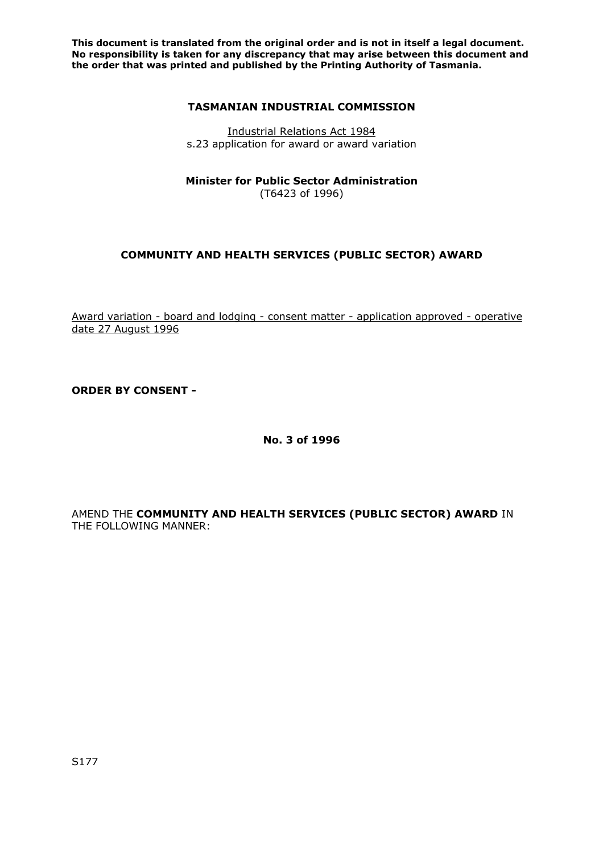**This document is translated from the original order and is not in itself a legal document. No responsibility is taken for any discrepancy that may arise between this document and the order that was printed and published by the Printing Authority of Tasmania.** 

## **TASMANIAN INDUSTRIAL COMMISSION**

Industrial Relations Act 1984 s.23 application for award or award variation

**Minister for Public Sector Administration** (T6423 of 1996)

# **COMMUNITY AND HEALTH SERVICES (PUBLIC SECTOR) AWARD**

Award variation - board and lodging - consent matter - application approved - operative date 27 August 1996

**ORDER BY CONSENT -** 

**No. 3 of 1996** 

AMEND THE **COMMUNITY AND HEALTH SERVICES (PUBLIC SECTOR) AWARD** IN THE FOLLOWING MANNER: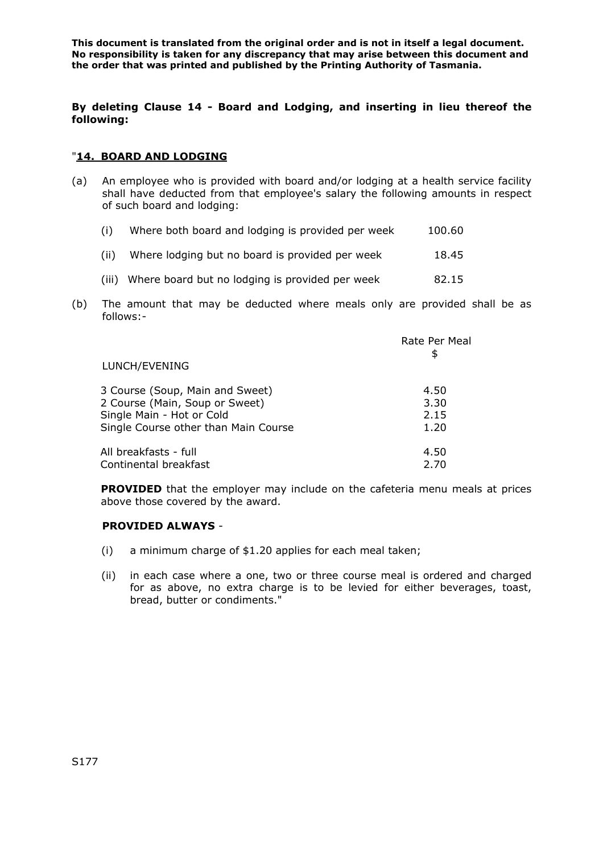**This document is translated from the original order and is not in itself a legal document. No responsibility is taken for any discrepancy that may arise between this document and the order that was printed and published by the Printing Authority of Tasmania.** 

## **By deleting Clause 14 - Board and Lodging, and inserting in lieu thereof the following:**

#### "**14. BOARD AND LODGING**

(a) An employee who is provided with board and/or lodging at a health service facility shall have deducted from that employee's salary the following amounts in respect of such board and lodging:

| (i)  | Where both board and lodging is provided per week | 100.60 |
|------|---------------------------------------------------|--------|
| (ii) | Where lodging but no board is provided per week   | 18.45  |

- (iii) Where board but no lodging is provided per week 82.15
- (b) The amount that may be deducted where meals only are provided shall be as follows:-

|                                      | Rate Per Meal |
|--------------------------------------|---------------|
| LUNCH/EVENING                        | \$            |
| 3 Course (Soup, Main and Sweet)      | 4.50          |
| 2 Course (Main, Soup or Sweet)       | 3.30          |
| Single Main - Hot or Cold            | 2.15          |
| Single Course other than Main Course | 1.20          |
| All breakfasts - full                | 4.50          |
| Continental breakfast                | 2.70          |

**PROVIDED** that the employer may include on the cafeteria menu meals at prices above those covered by the award.

#### **PROVIDED ALWAYS** -

- (i) a minimum charge of \$1.20 applies for each meal taken;
- (ii) in each case where a one, two or three course meal is ordered and charged for as above, no extra charge is to be levied for either beverages, toast, bread, butter or condiments."